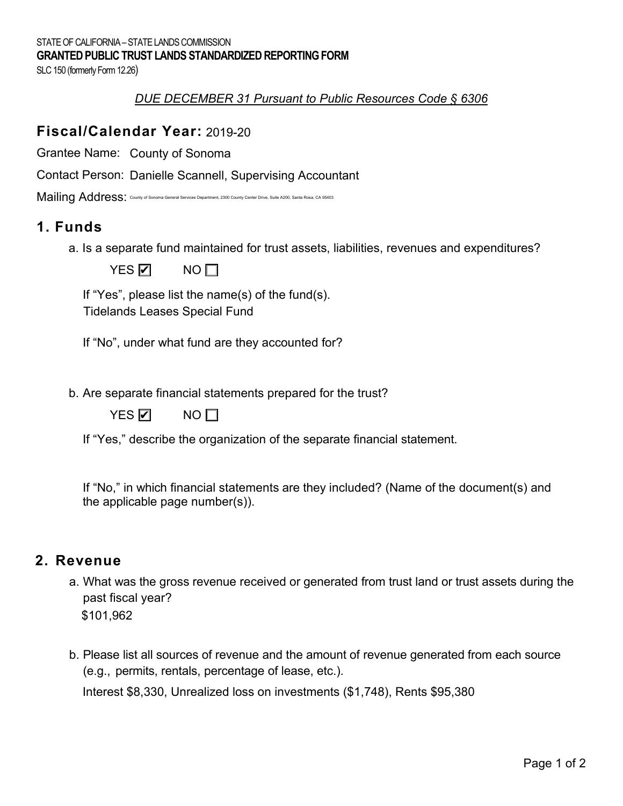SLC 150 (formerly Form 12.26)

### *DUE DECEMBER 31 Pursuant to Public Resources Code § 6306*

## **Fiscal/Calendar Year:**  2019-20

Grantee Name: County of Sonoma

Contact Person: Danielle Scannell, Supervising Accountant<br>Mailing Address: တ<sup>ounty of Sonoma General Services Department, 2300 County Center Drive, Suite A200, Santa Rosa, CA 95403</sup>

Mailing Address: County of Sonoma General Services Department, 2300 County Center Drive, Suite A200, Santa Rosa, CA 95403

## **1. Funds**

a. Is a separate fund maintained for trust assets, liabilities, revenues and expenditures?

YES **☑** NO

If "Yes", please list the name(s) of the fund(s). Tidelands Leases Special Fund

If "No", under what fund are they accounted for?

b. Are separate financial statements prepared for the trust?

|--|--|

 $NO$  $\Box$ 

If "Yes," describe the organization of the separate financial statement.

 If "No," in which financial statements are they included? (Name of the document(s) and the applicable page number(s)).

## **2. Revenue**

- a. What was the gross revenue received or generated from trust land or trust assets during the past fiscal year? \$101,962
- b. Please list all sources of revenue and the amount of revenue generated from each source (e.g., permits, rentals, percentage of lease, etc.).

Interest \$8,330, Unrealized loss on investments (\$1,748), Rents \$95,380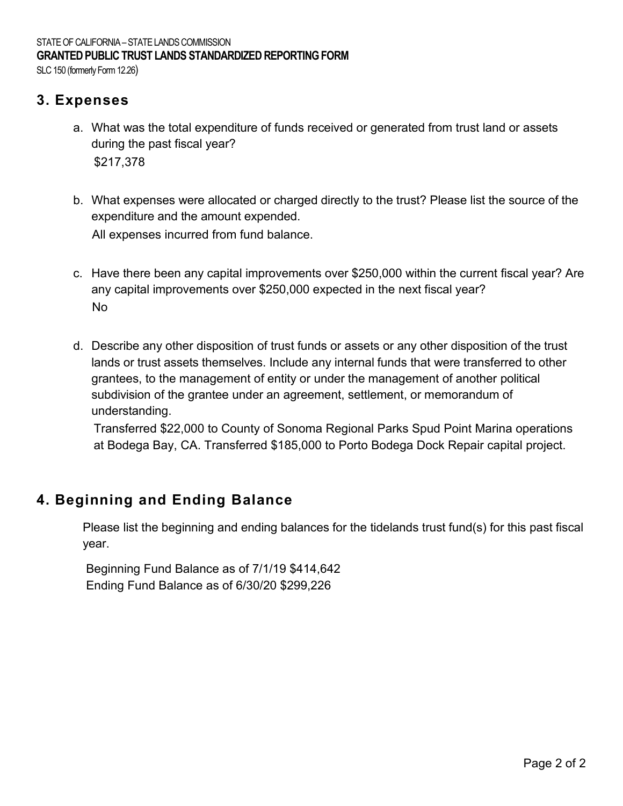SLC 150 (formerly Form 12.26)

## **3. Expenses**

- a. What was the total expenditure of funds received or generated from trust land or assets during the past fiscal year? \$217,378
- b. What expenses were allocated or charged directly to the trust? Please list the source of the expenditure and the amount expended. All expenses incurred from fund balance.
- c. Have there been any capital improvements over \$250,000 within the current fiscal year? Are any capital improvements over \$250,000 expected in the next fiscal year?
- d. Describe any other disposition of trust funds or assets or any other disposition of the trust lands or trust assets themselves. Include any internal funds that were transferred to other grantees, to the management of entity or under the management of another political subdivision of the grantee under an agreement, settlement, or memorandum of understanding. No<br>Describe any other disposition of trust funds or assets or any other disposition of the trust<br>lands or trust assets themselves. Include any internal funds that were transferred to other<br>grantees, to the management of en

at Bodega Bay, CA. Transferred \$185,000 to Porto Bodega Dock Repair capital project.

## **4. Beginning and Ending Balance**

 Please list the beginning and ending balances for the tidelands trust fund(s) for this past fiscal year.

Beginning Fund Balance as of 7/1/19 \$414,642 Ending Fund Balance as of 6/30/20 \$299,226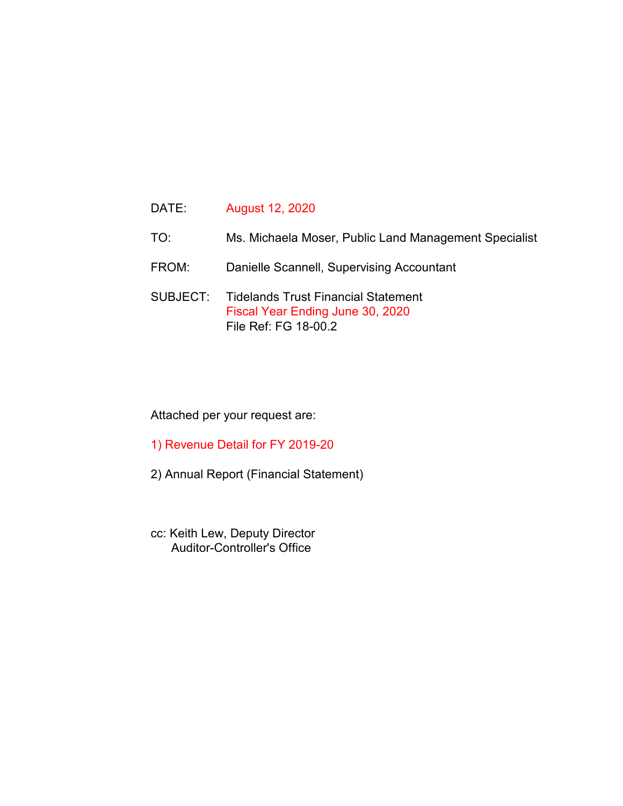- TO: Ms. Michaela Moser, Public Land Management Specialist
- FROM: Danielle Scannell, Supervising Accountant
- SUBJECT: Tidelands Trust Financial Statement Fiscal Year Ending June 30, 2020 File Ref: FG 18-00.2

### Attached per your request are:

- 1) Revenue Detail for FY 2019-20
- 2) Annual Report (Financial Statement)
- cc: Keith Lew, Deputy Director Auditor-Controller's Office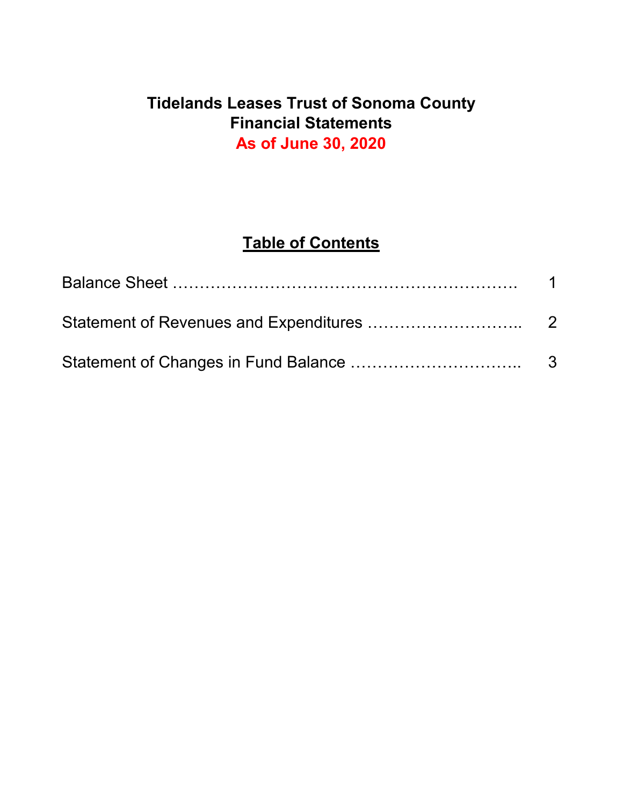# **Tidelands Leases Trust of Sonoma County Financial Statements As of June 30, 2020**

# **Table of Contents**

| $\overline{1}$ |
|----------------|
|                |
|                |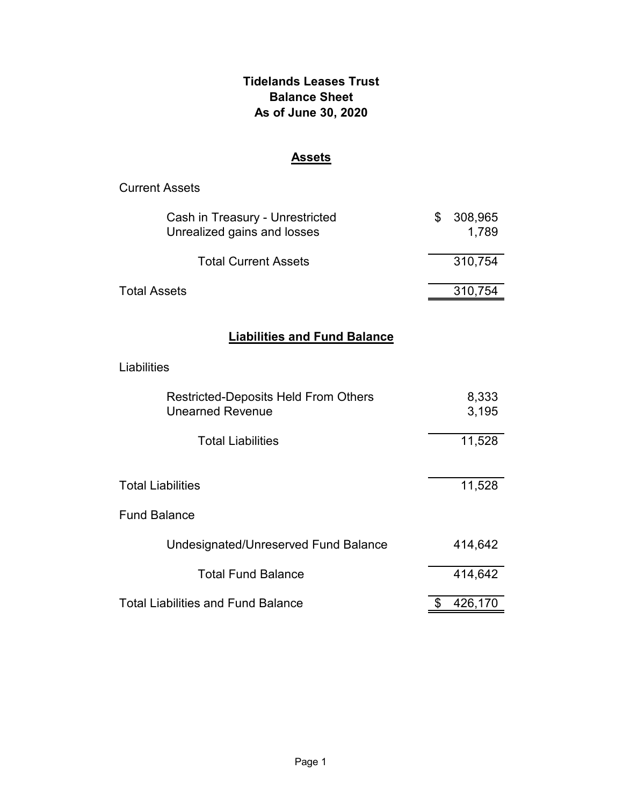## **Tidelands Leases Trust Balance Sheet As of June 30, 2020**

## **Assets**

| <b>Current Assets</b>                                                  |                        |  |  |
|------------------------------------------------------------------------|------------------------|--|--|
| Cash in Treasury - Unrestricted<br>Unrealized gains and losses         | \$<br>308,965<br>1,789 |  |  |
| <b>Total Current Assets</b>                                            | 310,754                |  |  |
| <b>Total Assets</b>                                                    | 310,754                |  |  |
| <b>Liabilities and Fund Balance</b>                                    |                        |  |  |
|                                                                        |                        |  |  |
| Liabilities                                                            |                        |  |  |
| <b>Restricted-Deposits Held From Others</b><br><b>Unearned Revenue</b> | 8,333<br>3,195         |  |  |
| <b>Total Liabilities</b>                                               | 11,528                 |  |  |
|                                                                        |                        |  |  |
| <b>Total Liabilities</b>                                               | 11,528                 |  |  |
| <b>Fund Balance</b>                                                    |                        |  |  |
| Undesignated/Unreserved Fund Balance                                   | 414,642                |  |  |
| <b>Total Fund Balance</b>                                              | 414,642                |  |  |
| <b>Total Liabilities and Fund Balance</b>                              | \$<br>426,170          |  |  |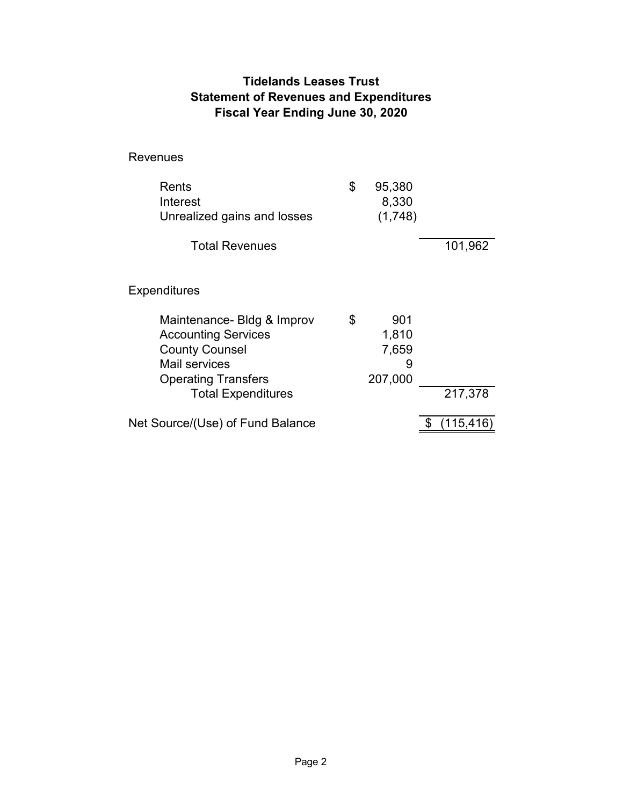## **Tidelands Leases Trust Statement of Revenues and Expenditures Fiscal Year Ending June 30, 2020**

Revenues

| Rents<br>Interest<br>Unrealized gains and losses                                                                                                              | \$<br>95,380<br>8,330<br>(1,748)            |         |
|---------------------------------------------------------------------------------------------------------------------------------------------------------------|---------------------------------------------|---------|
| <b>Total Revenues</b>                                                                                                                                         |                                             | 101,962 |
| Expenditures                                                                                                                                                  |                                             |         |
| Maintenance- Bldg & Improv<br><b>Accounting Services</b><br><b>County Counsel</b><br>Mail services<br><b>Operating Transfers</b><br><b>Total Expenditures</b> | \$<br>901<br>1,810<br>7,659<br>9<br>207,000 | 217,378 |
| Net Source/(Use) of Fund Balance                                                                                                                              |                                             | 115,41  |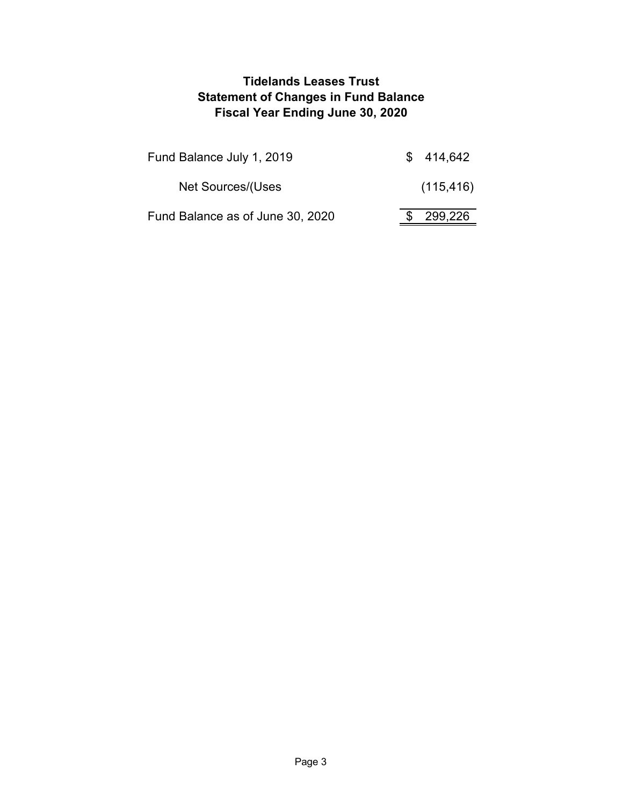## **Tidelands Leases Trust Statement of Changes in Fund Balance Fiscal Year Ending June 30, 2020**

| Fund Balance July 1, 2019        | \$414,642  |
|----------------------------------|------------|
| Net Sources/(Uses                | (115, 416) |
| Fund Balance as of June 30, 2020 | 299,226    |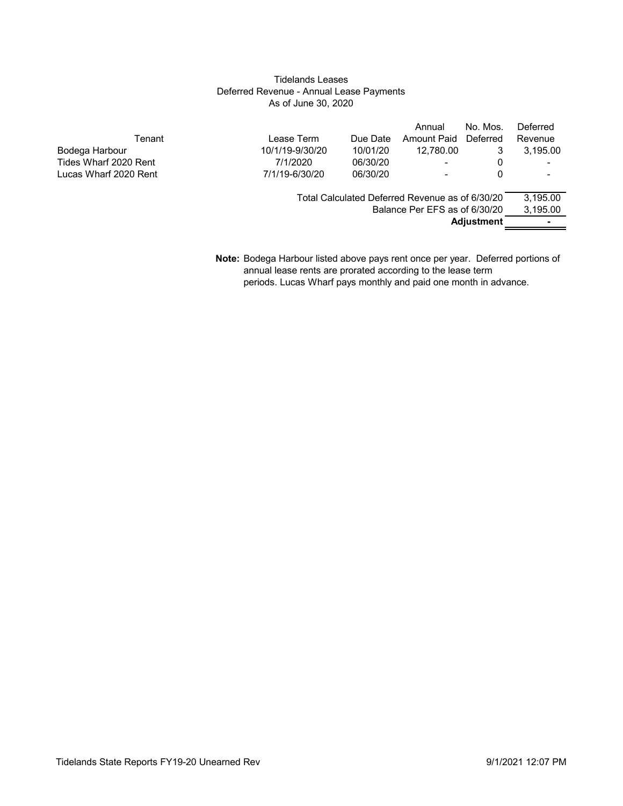#### Tidelands Leases Deferred Revenue - Annual Lease Payments As of June 30, 2020

|                       |                 |          | Annual                                          | No. Mos.          | Deferred |
|-----------------------|-----------------|----------|-------------------------------------------------|-------------------|----------|
| Tenant                | Lease Term      | Due Date | Amount Paid                                     | Deferred          | Revenue  |
| Bodega Harbour        | 10/1/19-9/30/20 | 10/01/20 | 12.780.00                                       | 3                 | 3,195.00 |
| Tides Wharf 2020 Rent | 7/1/2020        | 06/30/20 | ۰.                                              | 0                 |          |
| Lucas Wharf 2020 Rent | 7/1/19-6/30/20  | 06/30/20 |                                                 | 0                 |          |
|                       |                 |          | Total Calculated Deferred Revenue as of 6/30/20 |                   | 3.195.00 |
|                       |                 |          | Balance Per EFS as of 6/30/20                   |                   | 3,195.00 |
|                       |                 |          |                                                 | <b>Adjustment</b> |          |
|                       |                 |          |                                                 |                   |          |

**Note:** Bodega Harbour listed above pays rent once per year. Deferred portions of annual lease rents are prorated according to the lease term periods. Lucas Wharf pays monthly and paid one month in advance.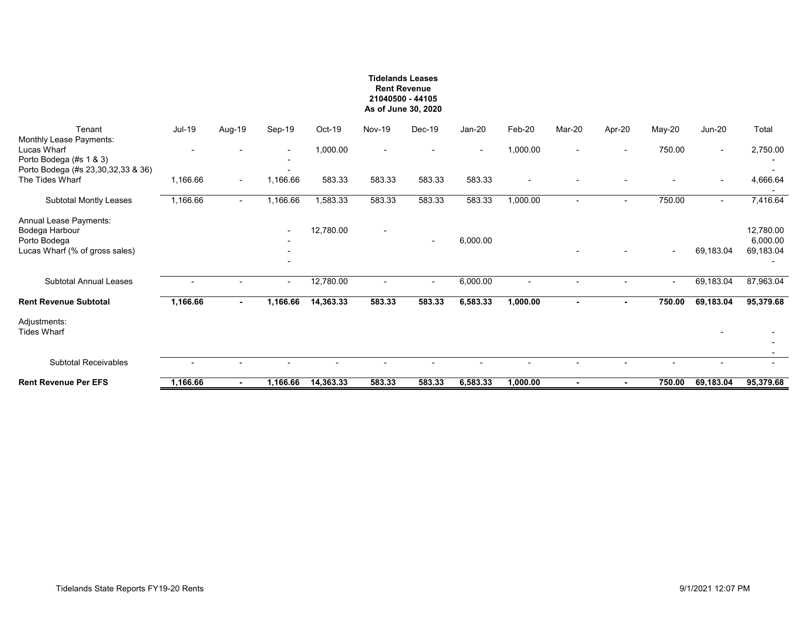#### **Tidelands Leases Rent Revenue 21040500 - 44105 As of June 30, 2020**

| Tenant<br>Monthly Lease Payments:                                                          | <b>Jul-19</b> | Aug-19                   | Sep-19                                               | Oct-19    | <b>Nov-19</b>            | $Dec-19$                 | $Jan-20$ | Feb-20                   | Mar-20                   | Apr-20                   | May-20                   | $Jun-20$                 | Total                              |
|--------------------------------------------------------------------------------------------|---------------|--------------------------|------------------------------------------------------|-----------|--------------------------|--------------------------|----------|--------------------------|--------------------------|--------------------------|--------------------------|--------------------------|------------------------------------|
| Lucas Wharf<br>Porto Bodega (#s 1 & 3)                                                     |               |                          | $\overline{\phantom{a}}$<br>$\overline{\phantom{a}}$ | 1,000.00  |                          |                          |          | 1,000.00                 |                          |                          | 750.00                   | $\sim$                   | 2,750.00                           |
| Porto Bodega (#s 23,30,32,33 & 36)<br>The Tides Wharf                                      | 1,166.66      | $\overline{\phantom{a}}$ | 1,166.66                                             | 583.33    | 583.33                   | 583.33                   | 583.33   | $\overline{\phantom{a}}$ |                          |                          |                          | $\overline{\phantom{a}}$ | 4,666.64                           |
| Subtotal Montly Leases                                                                     | 1,166.66      | $\overline{\phantom{a}}$ | 1,166.66                                             | 1,583.33  | 583.33                   | 583.33                   | 583.33   | 1,000.00                 | $\overline{\phantom{0}}$ | $\sim$                   | 750.00                   | $\sim$                   | 7,416.64                           |
| Annual Lease Payments:<br>Bodega Harbour<br>Porto Bodega<br>Lucas Wharf (% of gross sales) |               |                          | $\overline{\phantom{a}}$                             | 12,780.00 | $\overline{\phantom{a}}$ | $\overline{\phantom{a}}$ | 6,000.00 |                          |                          |                          | $\overline{\phantom{a}}$ | 69,183.04                | 12,780.00<br>6,000.00<br>69,183.04 |
| <b>Subtotal Annual Leases</b>                                                              |               |                          | $\sim$                                               | 12,780.00 | $\overline{\phantom{0}}$ | $\overline{\phantom{a}}$ | 6,000.00 | $\overline{\phantom{a}}$ | $\overline{\phantom{0}}$ | $\overline{\phantom{0}}$ | $\overline{\phantom{a}}$ | 69,183.04                | 87,963.04                          |
| <b>Rent Revenue Subtotal</b>                                                               | 1,166.66      | ٠                        | 1,166.66                                             | 14,363.33 | 583.33                   | 583.33                   | 6,583.33 | 1,000.00                 | $\blacksquare$           |                          | 750.00                   | 69,183.04                | 95,379.68                          |
| Adjustments:<br><b>Tides Wharf</b>                                                         |               |                          |                                                      |           |                          |                          |          |                          |                          |                          |                          |                          |                                    |
| <b>Subtotal Receivables</b>                                                                |               |                          |                                                      |           |                          |                          |          |                          |                          |                          |                          |                          | $\overline{\phantom{a}}$           |
|                                                                                            |               |                          |                                                      |           |                          |                          |          |                          |                          |                          |                          |                          |                                    |
| <b>Rent Revenue Per EFS</b>                                                                | 1,166.66      |                          | 1,166.66                                             | 14,363.33 | 583.33                   | 583.33                   | 6,583.33 | 1,000.00                 | ٠                        |                          | 750.00                   | 69,183.04                | 95,379.68                          |